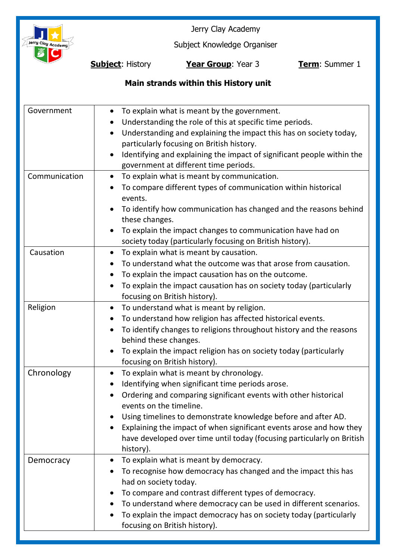

Jerry Clay Academy

Subject Knowledge Organiser

**Subject**: History **Year Group**: Year 3 **Term**: Summer 1

# **Main strands within this History unit**

| Government    | To explain what is meant by the government.<br>Understanding the role of this at specific time periods.<br>Understanding and explaining the impact this has on society today,<br>particularly focusing on British history.<br>Identifying and explaining the impact of significant people within the<br>$\bullet$<br>government at different time periods.                                                                                                      |
|---------------|-----------------------------------------------------------------------------------------------------------------------------------------------------------------------------------------------------------------------------------------------------------------------------------------------------------------------------------------------------------------------------------------------------------------------------------------------------------------|
| Communication | To explain what is meant by communication.<br>$\bullet$<br>To compare different types of communication within historical<br>events.<br>To identify how communication has changed and the reasons behind<br>these changes.<br>To explain the impact changes to communication have had on<br>society today (particularly focusing on British history).                                                                                                            |
| Causation     | To explain what is meant by causation.<br>To understand what the outcome was that arose from causation.<br>To explain the impact causation has on the outcome.<br>To explain the impact causation has on society today (particularly<br>focusing on British history).                                                                                                                                                                                           |
| Religion      | To understand what is meant by religion.<br>$\bullet$<br>To understand how religion has affected historical events.<br>$\bullet$<br>To identify changes to religions throughout history and the reasons<br>behind these changes.<br>To explain the impact religion has on society today (particularly<br>focusing on British history).                                                                                                                          |
| Chronology    | To explain what is meant by chronology.<br>$\bullet$<br>Identifying when significant time periods arose.<br>Ordering and comparing significant events with other historical<br>$\bullet$<br>events on the timeline.<br>Using timelines to demonstrate knowledge before and after AD.<br>Explaining the impact of when significant events arose and how they<br>$\bullet$<br>have developed over time until today (focusing particularly on British<br>history). |
| Democracy     | To explain what is meant by democracy.<br>To recognise how democracy has changed and the impact this has<br>had on society today.<br>To compare and contrast different types of democracy.<br>To understand where democracy can be used in different scenarios.<br>To explain the impact democracy has on society today (particularly<br>focusing on British history).                                                                                          |